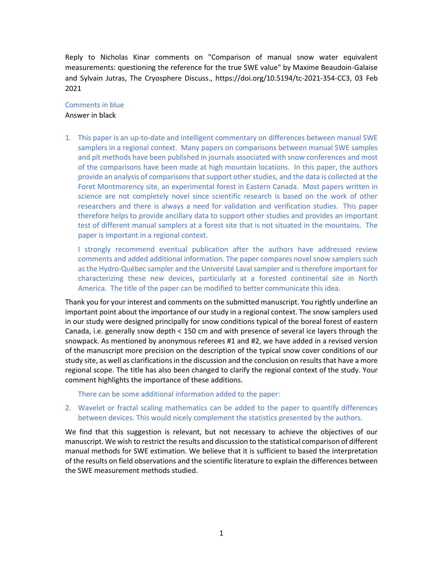Reply to Nicholas Kinar comments on "Comparison of manual snow water equivalent measurements: questioning the reference for the true SWE value" by Maxime Beaudoin-Galaise and Sylvain Jutras, The Cryosphere Discuss., https://doi.org/10.5194/tc-2021-354-CC3, 03 Feb 2021

## Comments in blue Answer in black

1. This paper is an up-to-date and intelligent commentary on differences between manual SWE samplers in a regional context. Many papers on comparisons between manual SWE samples and pit methods have been published in journals associated with snow conferences and most of the comparisons have been made at high mountain locations. In this paper, the authors provide an analysis of comparisons that support other studies, and the data is collected at the Foret Montmorency site, an experimental forest in Eastern Canada. Most papers written in science are not completely novel since scientific research is based on the work of other researchers and there is always a need for validation and verification studies. This paper therefore helps to provide ancillary data to support other studies and provides an important test of different manual samplers at a forest site that is not situated in the mountains. The paper is important in a regional context.

I strongly recommend eventual publication after the authors have addressed review comments and added additional information. The paper compares novel snow samplers such as the Hydro-Québec sampler and the Université Laval sampler and is therefore important for characterizing these new devices, particularly at a forested continental site in North America. The title of the paper can be modified to better communicate this idea.

Thank you for your interest and comments on the submitted manuscript. You rightly underline an important point about the importance of our study in a regional context. The snow samplers used in our study were designed principally for snow conditions typical of the boreal forest of eastern Canada, i.e. generally snow depth < 150 cm and with presence of several ice layers through the snowpack. As mentioned by anonymous referees #1 and #2, we have added in a revised version of the manuscript more precision on the description of the typical snow cover conditions of our study site, as well as clarifications in the discussion and the conclusion on results that have a more regional scope. The title has also been changed to clarify the regional context of the study. Your comment highlights the importance of these additions.

There can be some additional information added to the paper:

## 2. Wavelet or fractal scaling mathematics can be added to the paper to quantify differences between devices. This would nicely complement the statistics presented by the authors.

We find that this suggestion is relevant, but not necessary to achieve the objectives of our manuscript. We wish to restrict the results and discussion to the statistical comparison of different manual methods for SWE estimation. We believe that it is sufficient to based the interpretation of the results on field observations and the scientific literature to explain the differences between the SWE measurement methods studied.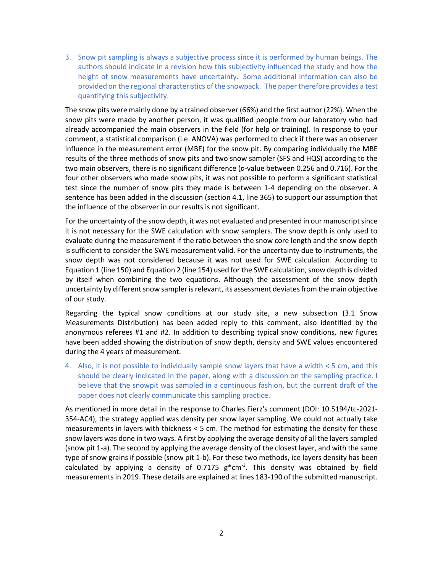3. Snow pit sampling is always a subjective process since it is performed by human beings. The authors should indicate in a revision how this subjectivity influenced the study and how the height of snow measurements have uncertainty. Some additional information can also be provided on the regional characteristics of the snowpack. The paper therefore provides a test quantifying this subjectivity.

The snow pits were mainly done by a trained observer (66%) and the first author (22%). When the snow pits were made by another person, it was qualified people from our laboratory who had already accompanied the main observers in the field (for help or training). In response to your comment, a statistical comparison (i.e. ANOVA) was performed to check if there was an observer influence in the measurement error (MBE) for the snow pit. By comparing individually the MBE results of the three methods of snow pits and two snow sampler (SFS and HQS) according to the two main observers, there is no significant difference (*p*-value between 0.256 and 0.716). For the four other observers who made snow pits, it was not possible to perform a significant statistical test since the number of snow pits they made is between 1-4 depending on the observer. A sentence has been added in the discussion (section 4.1, line 365) to support our assumption that the influence of the observer in our results is not significant.

For the uncertainty of the snow depth, it was not evaluated and presented in our manuscript since it is not necessary for the SWE calculation with snow samplers. The snow depth is only used to evaluate during the measurement if the ratio between the snow core length and the snow depth is sufficient to consider the SWE measurement valid. For the uncertainty due to instruments, the snow depth was not considered because it was not used for SWE calculation. According to Equation 1 (line 150) and Equation 2 (line 154) used for the SWE calculation, snow depth is divided by itself when combining the two equations. Although the assessment of the snow depth uncertainty by different snow sampler is relevant, its assessment deviates from the main objective of our study.

Regarding the typical snow conditions at our study site, a new subsection (3.1 Snow Measurements Distribution) has been added reply to this comment, also identified by the anonymous referees #1 and #2. In addition to describing typical snow conditions, new figures have been added showing the distribution of snow depth, density and SWE values encountered during the 4 years of measurement.

4. Also, it is not possible to individually sample snow layers that have a width < 5 cm, and this should be clearly indicated in the paper, along with a discussion on the sampling practice. I believe that the snowpit was sampled in a continuous fashion, but the current draft of the paper does not clearly communicate this sampling practice.

As mentioned in more detail in the response to Charles Fierz's comment (DOI: 10.5194/tc-2021- 354-AC4), the strategy applied was density per snow layer sampling. We could not actually take measurements in layers with thickness < 5 cm. The method for estimating the density for these snow layers was done in two ways. A first by applying the average density of all the layers sampled (snow pit 1-a). The second by applying the average density of the closest layer, and with the same type of snow grains if possible (snow pit 1-b). For these two methods, ice layers density has been calculated by applying a density of  $0.7175$   $g*cm^{-3}$ . This density was obtained by field measurements in 2019. These details are explained at lines 183-190 of the submitted manuscript.